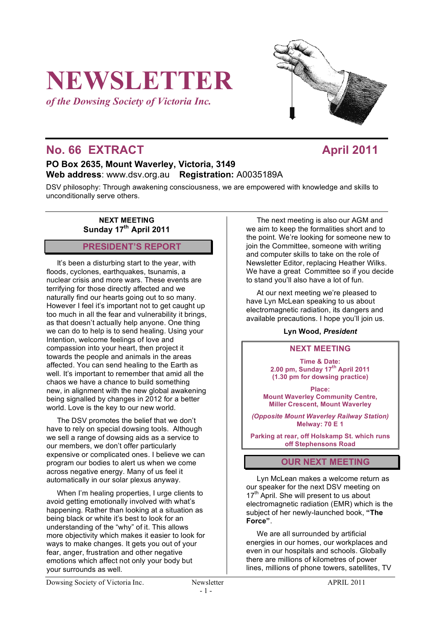# **NEWSLETTER**

*of the Dowsing Society of Victoria Inc.*

# **No. 66 EXTRACT April 2011**

## **PO Box 2635, Mount Waverley, Victoria, 3149 Web address**: www.dsv.org.au **Registration:** A0035189A

DSV philosophy: Through awakening consciousness, we are empowered with knowledge and skills to unconditionally serve others.

> **NEXT MEETING** Sunday 17<sup>th</sup> April 2011

## **PRESIDENT'S REPORT**

It's been a disturbing start to the year, with floods, cyclones, earthquakes, tsunamis, a nuclear crisis and more wars. These events are terrifying for those directly affected and we naturally find our hearts going out to so many. However I feel it's important not to get caught up too much in all the fear and vulnerability it brings, as that doesn't actually help anyone. One thing we can do to help is to send healing. Using your Intention, welcome feelings of love and compassion into your heart, then project it towards the people and animals in the areas affected. You can send healing to the Earth as well. It's important to remember that amid all the chaos we have a chance to build something new, in alignment with the new global awakening being signalled by changes in 2012 for a better world. Love is the key to our new world.

The DSV promotes the belief that we don't have to rely on special dowsing tools. Although we sell a range of dowsing aids as a service to our members, we don't offer particularly expensive or complicated ones. I believe we can program our bodies to alert us when we come across negative energy. Many of us feel it automatically in our solar plexus anyway.

When I'm healing properties, I urge clients to avoid getting emotionally involved with what's happening. Rather than looking at a situation as being black or white it's best to look for an understanding of the "why" of it. This allows more objectivity which makes it easier to look for ways to make changes. It gets you out of your fear, anger, frustration and other negative emotions which affect not only your body but your surrounds as well.

The next meeting is also our AGM and we aim to keep the formalities short and to the point. We're looking for someone new to join the Committee, someone with writing and computer skills to take on the role of Newsletter Editor, replacing Heather Wilks. We have a great Committee so if you decide to stand you'll also have a lot of fun.

At our next meeting we're pleased to have Lyn McLean speaking to us about electromagnetic radiation, its dangers and available precautions. I hope you'll join us.

#### **Lyn Wood,** *President*

#### **NEXT MEETING**

**Time & Date: 2.00 pm, Sunday 17th April 2011 (1.30 pm for dowsing practice)**

**Place: Mount Waverley Community Centre, Miller Crescent, Mount Waverley**

*(Opposite Mount Waverley Railway Station)* **Melway: 70 E 1**

**Parking at rear, off Holskamp St. which runs off Stephensons Road**

## **OUR NEXT MEETING**

Lyn McLean makes a welcome return as our speaker for the next DSV meeting on 17<sup>th</sup> April. She will present to us about electromagnetic radiation (EMR) which is the subject of her newly-launched book, **"The Force"**.

We are all surrounded by artificial energies in our homes, our workplaces and even in our hospitals and schools. Globally there are millions of kilometres of power lines, millions of phone towers, satellites, TV

Dowsing Society of Victoria Inc. Newsletter Newsletter APRIL 2011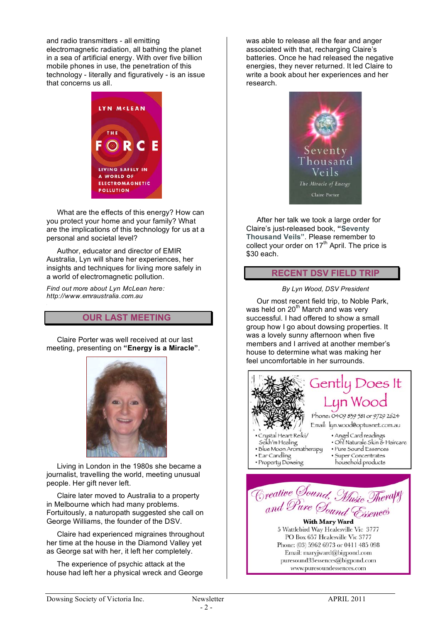and radio transmitters - all emitting electromagnetic radiation, all bathing the planet in a sea of artificial energy. With over five billion mobile phones in use, the penetration of this technology - literally and figuratively - is an issue that concerns us all.



What are the effects of this energy? How can you protect your home and your family? What are the implications of this technology for us at a personal and societal level?

Author, educator and director of EMIR Australia, Lyn will share her experiences, her insights and techniques for living more safely in a world of electromagnetic pollution.

*Find out more about Lyn McLean here: http://www.emraustralia.com.au*

## **OUR LAST MEETING**

Claire Porter was well received at our last meeting, presenting on **"Energy is a Miracle"**.



Living in London in the 1980s she became a journalist, travelling the world, meeting unusual people. Her gift never left.

Claire later moved to Australia to a property in Melbourne which had many problems. Fortuitously, a naturopath suggested she call on George Williams, the founder of the DSV.

Claire had experienced migraines throughout her time at the house in the Diamond Valley yet as George sat with her, it left her completely.

The experience of psychic attack at the house had left her a physical wreck and George was able to release all the fear and anger associated with that, recharging Claire's batteries. Once he had released the negative energies, they never returned. It led Claire to write a book about her experiences and her research.



After her talk we took a large order for Claire's just-released book, **"Seventy Thousand Veils"**. Please remember to collect your order on  $17<sup>th</sup>$  April. The price is \$30 each.

### **RECENT DSV FIELD TRIP**

#### *By Lyn Wood, DSV President*

Our most recent field trip, to Noble Park, was held on  $20<sup>th</sup>$  March and was very successful. I had offered to show a small group how I go about dowsing properties. It was a lovely sunny afternoon when five members and I arrived at another member's house to determine what was making her feel uncomfortable in her surrounds.



puresound33essences@bigpond.com www.puresoundessences.com